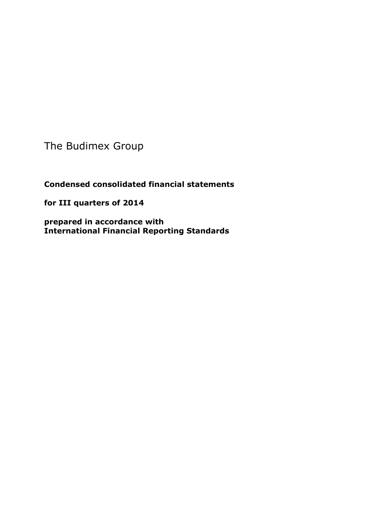The Budimex Group

**Condensed consolidated financial statements** 

**for III quarters of 2014**

**prepared in accordance with International Financial Reporting Standards**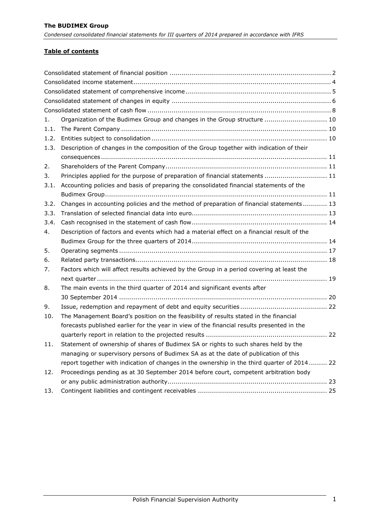### **Table of contents**

| 1.   | Organization of the Budimex Group and changes in the Group structure  10                    |
|------|---------------------------------------------------------------------------------------------|
| 1.1. |                                                                                             |
| 1.2. |                                                                                             |
| 1.3. | Description of changes in the composition of the Group together with indication of their    |
|      |                                                                                             |
| 2.   |                                                                                             |
| 3.   | Principles applied for the purpose of preparation of financial statements  11               |
| 3.1. | Accounting policies and basis of preparing the consolidated financial statements of the     |
|      |                                                                                             |
| 3.2. | Changes in accounting policies and the method of preparation of financial statements 13     |
| 3.3. |                                                                                             |
| 3.4. |                                                                                             |
| 4.   | Description of factors and events which had a material effect on a financial result of the  |
|      |                                                                                             |
| 5.   |                                                                                             |
| 6.   |                                                                                             |
| 7.   | Factors which will affect results achieved by the Group in a period covering at least the   |
|      |                                                                                             |
| 8.   | The main events in the third quarter of 2014 and significant events after                   |
|      |                                                                                             |
| 9.   |                                                                                             |
| 10.  | The Management Board's position on the feasibility of results stated in the financial       |
|      | forecasts published earlier for the year in view of the financial results presented in the  |
|      |                                                                                             |
| 11.  | Statement of ownership of shares of Budimex SA or rights to such shares held by the         |
|      | managing or supervisory persons of Budimex SA as at the date of publication of this         |
|      | report together with indication of changes in the ownership in the third quarter of 2014 22 |
| 12.  | Proceedings pending as at 30 September 2014 before court, competent arbitration body        |
|      |                                                                                             |
| 13.  |                                                                                             |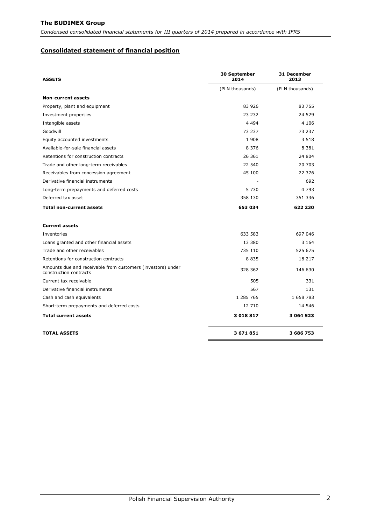*Condensed consolidated financial statements for III quarters of 2014 prepared in accordance with IFRS*

#### <span id="page-2-0"></span>**Consolidated statement of financial position**

| <b>ASSETS</b>                                                                         | 30 September<br>2014 | 31 December<br>2013 |
|---------------------------------------------------------------------------------------|----------------------|---------------------|
|                                                                                       | (PLN thousands)      | (PLN thousands)     |
| <b>Non-current assets</b>                                                             |                      |                     |
| Property, plant and equipment                                                         | 83 926               | 83 755              |
| Investment properties                                                                 | 23 232               | 24 529              |
| Intangible assets                                                                     | 4 4 9 4              | 4 106               |
| Goodwill                                                                              | 73 237               | 73 237              |
| Equity accounted investments                                                          | 1908                 | 3 5 1 8             |
| Available-for-sale financial assets                                                   | 8 3 7 6              | 8 3 8 1             |
| Retentions for construction contracts                                                 | 26 361               | 24 804              |
| Trade and other long-term receivables                                                 | 22 540               | 20 703              |
| Receivables from concession agreement                                                 | 45 100               | 22 376              |
| Derivative financial instruments                                                      |                      | 692                 |
| Long-term prepayments and deferred costs                                              | 5 7 3 0              | 4 793               |
| Deferred tax asset                                                                    | 358 130              | 351 336             |
| <b>Total non-current assets</b>                                                       | 653 034              | 622 230             |
| <b>Current assets</b>                                                                 |                      |                     |
| Inventories                                                                           | 633 583              | 697 046             |
| Loans granted and other financial assets                                              | 13 380               | 3 1 6 4             |
| Trade and other receivables                                                           | 735 110              | 525 675             |
| Retentions for construction contracts                                                 | 8 8 3 5              | 18 217              |
| Amounts due and receivable from customers (investors) under<br>construction contracts | 328 362              | 146 630             |
| Current tax receivable                                                                | 505                  | 331                 |
| Derivative financial instruments                                                      | 567                  | 131                 |
| Cash and cash equivalents                                                             | 1 285 765            | 1 658 783           |
| Short-term prepayments and deferred costs                                             | 12 710               | 14 546              |
| <b>Total current assets</b>                                                           | 3018817              | 3 064 523           |
| <b>TOTAL ASSETS</b>                                                                   | 3671851              | 3 686 753           |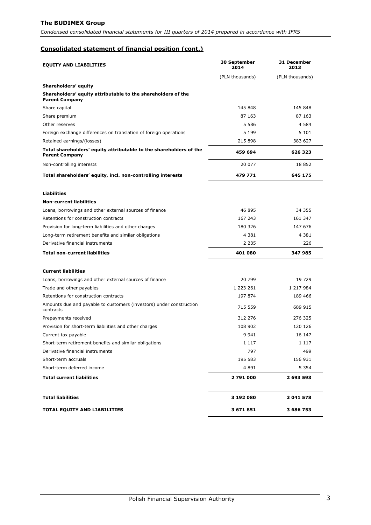*Condensed consolidated financial statements for III quarters of 2014 prepared in accordance with IFRS*

# **Consolidated statement of financial position (cont.)**

| <b>EQUITY AND LIABILITIES</b>                                                               | 30 September<br>2014 | 31 December<br>2013 |
|---------------------------------------------------------------------------------------------|----------------------|---------------------|
|                                                                                             | (PLN thousands)      | (PLN thousands)     |
| Shareholders' equity                                                                        |                      |                     |
| Shareholders' equity attributable to the shareholders of the<br><b>Parent Company</b>       |                      |                     |
| Share capital                                                                               | 145 848              | 145 848             |
| Share premium                                                                               | 87 163               | 87 163              |
| Other reserves                                                                              | 5 5 8 6              | 4 5 8 4             |
| Foreign exchange differences on translation of foreign operations                           | 5 1 9 9              | 5 1 0 1             |
| Retained earnings/(losses)                                                                  | 215 898              | 383 627             |
| Total shareholders' equity attributable to the shareholders of the<br><b>Parent Company</b> | 459 694              | 626 323             |
| Non-controlling interests                                                                   | 20 077               | 18852               |
| Total shareholders' equity, incl. non-controlling interests                                 | 479 771              | 645 175             |
| <b>Liabilities</b>                                                                          |                      |                     |
| <b>Non-current liabilities</b>                                                              |                      |                     |
| Loans, borrowings and other external sources of finance                                     | 46 895               | 34 355              |
| Retentions for construction contracts                                                       | 167 243              | 161 347             |
| Provision for long-term liabilities and other charges                                       | 180 326              | 147 676             |
| Long-term retirement benefits and similar obligations                                       | 4 3 8 1              | 4 3 8 1             |
| Derivative financial instruments                                                            | 2 235                | 226                 |
| <b>Total non-current liabilities</b>                                                        | 401 080              | 347985              |
| <b>Current liabilities</b>                                                                  |                      |                     |
| Loans, borrowings and other external sources of finance                                     | 20 799               | 19 729              |
| Trade and other payables                                                                    | 1 223 261            | 1 217 984           |
| Retentions for construction contracts                                                       | 197 874              | 189 466             |
| Amounts due and payable to customers (investors) under construction<br>contracts            | 715 559              | 689 915             |
| Prepayments received                                                                        | 312 276              | 276 325             |
| Provision for short-term liabilities and other charges                                      | 108 902              | 120 126             |
| Current tax payable                                                                         | 9 9 4 1              | 16 147              |
| Short-term retirement benefits and similar obligations                                      | 1 1 1 7              | 1 1 1 7             |
| Derivative financial instruments                                                            | 797                  | 499                 |
| Short-term accruals                                                                         | 195 583              | 156 931             |
| Short-term deferred income                                                                  | 4891                 | 5 3 5 4             |
| <b>Total current liabilities</b>                                                            | 2 791 000            | 2 693 593           |
| <b>Total liabilities</b>                                                                    | 3 192 080            | 3 041 578           |
| TOTAL EQUITY AND LIABILITIES                                                                | 3 671 851            | 3 686 753           |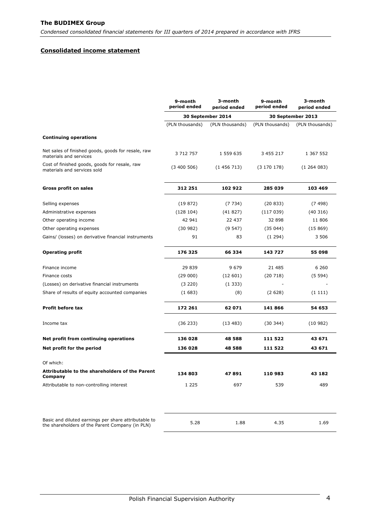#### <span id="page-4-0"></span>**Consolidated income statement**

|                                                                                                         | 9-month<br>period ended | 3-month<br>period ended | 9-month<br>period ended | 3-month<br>period ended |
|---------------------------------------------------------------------------------------------------------|-------------------------|-------------------------|-------------------------|-------------------------|
|                                                                                                         |                         | 30 September 2014       |                         | 30 September 2013       |
|                                                                                                         | (PLN thousands)         | (PLN thousands)         | (PLN thousands)         | (PLN thousands)         |
| <b>Continuing operations</b>                                                                            |                         |                         |                         |                         |
| Net sales of finished goods, goods for resale, raw<br>materials and services                            | 3 712 757               | 1 559 635               | 3 455 217               | 1 367 552               |
| Cost of finished goods, goods for resale, raw<br>materials and services sold                            | (3400506)               | (1456713)               | (3170178)               | (1264083)               |
| <b>Gross profit on sales</b>                                                                            | 312 251                 | 102922                  | 285 039                 | 103 469                 |
| Selling expenses                                                                                        | (19872)                 | (7734)                  | (20833)                 | (7498)                  |
| Administrative expenses                                                                                 | (128104)                | (41827)                 | (117039)                | (40316)                 |
| Other operating income                                                                                  | 42 941                  | 22 437                  | 32 898                  | 11 806                  |
| Other operating expenses                                                                                | (30982)                 | (9547)                  | (35044)                 | (15869)                 |
| Gains/ (losses) on derivative financial instruments                                                     | 91                      | 83                      | (1294)                  | 3 5 0 6                 |
| <b>Operating profit</b>                                                                                 | 176 325                 | 66 334                  | 143 727                 | 55 098                  |
| Finance income                                                                                          | 29 839                  | 9 6 7 9                 | 21 485                  | 6 2 6 0                 |
| Finance costs                                                                                           | (29000)                 | (12601)                 | (20718)                 | (5594)                  |
| (Losses) on derivative financial instruments                                                            | (3 220)                 | (1333)                  |                         |                         |
| Share of results of equity accounted companies                                                          | (1683)                  | (8)                     | (2628)                  | (1111)                  |
| <b>Profit before tax</b>                                                                                | 172 261                 | 62 071                  | 141866                  | 54 653                  |
| Income tax                                                                                              | (36 233)                | (13483)                 | (30344)                 | (10982)                 |
| Net profit from continuing operations                                                                   | 136 028                 | 48 588                  | 111 522                 | 43 671                  |
| Net profit for the period                                                                               | 136 028                 | 48 588                  | 111 522                 | 43 671                  |
| Of which:                                                                                               |                         |                         |                         |                         |
| Attributable to the shareholders of the Parent<br>Company                                               | 134 803                 | 47 891                  | 110 983                 | 43 182                  |
| Attributable to non-controlling interest                                                                | 1 2 2 5                 | 697                     | 539                     | 489                     |
| Basic and diluted earnings per share attributable to<br>the shareholders of the Parent Company (in PLN) | 5.28                    | 1.88                    | 4.35                    | 1.69                    |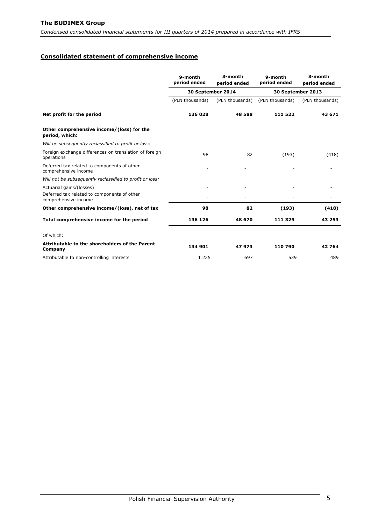*Condensed consolidated financial statements for III quarters of 2014 prepared in accordance with IFRS*

## <span id="page-5-0"></span>**Consolidated statement of comprehensive income**

|                                                                      | 9-month<br>period ended | 3-month<br>period ended | 9-month<br>period ended | 3-month<br>period ended |
|----------------------------------------------------------------------|-------------------------|-------------------------|-------------------------|-------------------------|
|                                                                      | 30 September 2014       |                         |                         | 30 September 2013       |
|                                                                      | (PLN thousands)         | (PLN thousands)         | (PLN thousands)         | (PLN thousands)         |
| Net profit for the period                                            | 136 028                 | 48 588                  | 111 522                 | 43 671                  |
| Other comprehensive income/(loss) for the<br>period, which:          |                         |                         |                         |                         |
| Will be subsequently reclassified to profit or loss:                 |                         |                         |                         |                         |
| Foreign exchange differences on translation of foreign<br>operations | 98                      | 82                      | (193)                   | (418)                   |
| Deferred tax related to components of other<br>comprehensive income  |                         |                         |                         |                         |
| Will not be subsequently reclassified to profit or loss:             |                         |                         |                         |                         |
| Actuarial gains/(losses)                                             |                         |                         |                         |                         |
| Deferred tax related to components of other<br>comprehensive income  |                         |                         |                         |                         |
| Other comprehensive income/(loss), net of tax                        | 98                      | 82                      | (193)                   | (418)                   |
| Total comprehensive income for the period                            | 136 126                 | 48 670                  | 111 329                 | 43 253                  |
| Of which:                                                            |                         |                         |                         |                         |
| Attributable to the shareholders of the Parent<br>Company            | 134 901                 | 47973                   | 110 790                 | 42764                   |
| Attributable to non-controlling interests                            | 1 2 2 5                 | 697                     | 539                     | 489                     |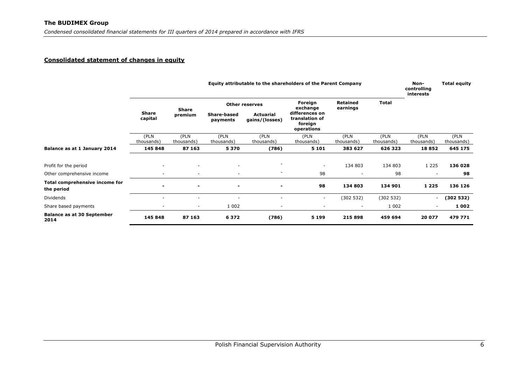#### **Consolidated statement of changes in equity**

<span id="page-6-0"></span>

|                                              | Equity attributable to the shareholders of the Parent Company |                          |                          |                                    |                                                           |                          |                    | Non-<br>controlling<br>interests | <b>Total equity</b> |
|----------------------------------------------|---------------------------------------------------------------|--------------------------|--------------------------|------------------------------------|-----------------------------------------------------------|--------------------------|--------------------|----------------------------------|---------------------|
|                                              | <b>Share</b><br>capital                                       | <b>Share</b>             |                          | <b>Other reserves</b>              | Foreign<br>exchange                                       | Retained<br>earnings     | <b>Total</b>       |                                  |                     |
|                                              |                                                               | premium                  | Share-based<br>payments  | <b>Actuarial</b><br>gains/(losses) | differences on<br>translation of<br>foreign<br>operations |                          |                    |                                  |                     |
|                                              | (PLN<br>thousands)                                            | (PLN<br>thousands)       | (PLN<br>thousands)       | (PLN<br>thousands)                 | (PLN<br>thousands)                                        | (PLN<br>thousands)       | (PLN<br>thousands) | (PLN<br>thousands)               | (PLN<br>thousands)  |
| Balance as at 1 January 2014                 | 145 848                                                       | 87 163                   | 5370                     | (786)                              | 5 1 0 1                                                   | 383 627                  | 626 323            | 18852                            | 645 175             |
| Profit for the period                        |                                                               |                          | ٠                        |                                    |                                                           | 134 803                  | 134 803            | 1 2 2 5                          | 136 028             |
| Other comprehensive income                   |                                                               | ٠                        | $\overline{\phantom{a}}$ | ۰                                  | 98                                                        | ٠                        | 98                 | $\overline{\phantom{m}}$         | 98                  |
| Total comprehensive income for<br>the period |                                                               | $\overline{\phantom{a}}$ | $\blacksquare$           | $\blacksquare$                     | 98                                                        | 134 803                  | 134 901            | 1 2 2 5                          | 136 126             |
| <b>Dividends</b>                             |                                                               | ۰                        | $\overline{\phantom{a}}$ | $\overline{\phantom{a}}$           | $\sim$                                                    | (302 532)                | (302532)           | $\overline{\phantom{a}}$         | (302532)            |
| Share based payments                         |                                                               | $\sim$                   | 1 0 0 2                  | ٠                                  |                                                           | $\overline{\phantom{a}}$ | 1 0 0 2            | ٠                                | 1 002               |
| <b>Balance as at 30 September</b><br>2014    | 145 848                                                       | 87 163                   | 6372                     | (786)                              | 5 1 9 9                                                   | 215 898                  | 459 694            | 20 077                           | 479 771             |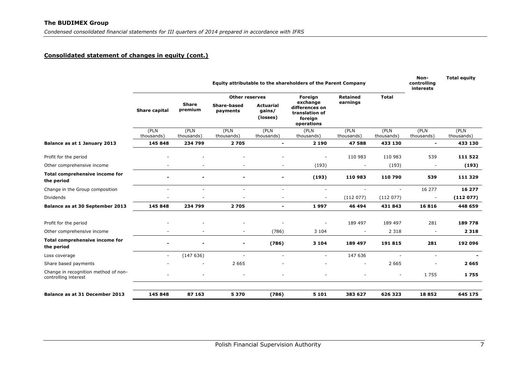## **Consolidated statement of changes in equity (cont.)**

|                                                              | Equity attributable to the shareholders of the Parent Company |                         |                                |                                        |                                                                       |                    |                    | Non-<br>controlling<br>interests | <b>Total equity</b> |
|--------------------------------------------------------------|---------------------------------------------------------------|-------------------------|--------------------------------|----------------------------------------|-----------------------------------------------------------------------|--------------------|--------------------|----------------------------------|---------------------|
|                                                              |                                                               |                         | <b>Other reserves</b>          |                                        | Foreign                                                               | <b>Retained</b>    | <b>Total</b>       |                                  |                     |
|                                                              | <b>Share capital</b>                                          | <b>Share</b><br>premium | <b>Share-based</b><br>payments | <b>Actuarial</b><br>gains/<br>(losses) | exchange<br>differences on<br>translation of<br>foreign<br>operations | earnings           |                    |                                  |                     |
|                                                              | (PLN<br>thousands)                                            | (PLN<br>thousands)      | (PLN<br>thousands)             | (PLN<br>thousands)                     | (PLN<br>thousands)                                                    | (PLN<br>thousands) | (PLN<br>thousands) | (PLN<br>thousands)               | (PLN<br>thousands)  |
| Balance as at 1 January 2013                                 | 145 848                                                       | 234 799                 | 2705                           | $\overline{\phantom{a}}$               | 2 1 9 0                                                               | 47588              | 433 130            | $\overline{\phantom{a}}$         | 433 130             |
|                                                              |                                                               |                         |                                |                                        |                                                                       |                    |                    |                                  |                     |
| Profit for the period                                        |                                                               |                         |                                |                                        |                                                                       | 110 983            | 110 983            | 539                              | 111 522             |
| Other comprehensive income                                   |                                                               |                         |                                |                                        | (193)                                                                 |                    | (193)              | $\sim$                           | (193)               |
| Total comprehensive income for<br>the period                 |                                                               |                         |                                |                                        | (193)                                                                 | 110 983            | 110 790            | 539                              | 111 329             |
| Change in the Group composition                              | $\sim$                                                        | $\sim$                  | ÷.                             | ٠                                      | $\overline{\phantom{a}}$                                              | $\sim$             | $\sim$             | 16 277                           | 16 277              |
| Dividends                                                    | $\sim$                                                        | $\sim$                  | $\overline{\phantom{a}}$       | $\overline{\phantom{m}}$               | $\overline{\phantom{a}}$                                              | (112077)           | (112077)           | $\overline{\phantom{a}}$         | (112077)            |
| Balance as at 30 September 2013                              | 145 848                                                       | 234 799                 | 2705                           | $\blacksquare$                         | 1997                                                                  | 46 494             | 431 843            | 16816                            | 448 659             |
| Profit for the period                                        |                                                               |                         |                                |                                        |                                                                       | 189 497            | 189 497            | 281                              | 189 778             |
| Other comprehensive income                                   |                                                               |                         | $\overline{\phantom{a}}$       | (786)                                  | 3 1 0 4                                                               |                    | 2 3 1 8            | $\overline{\phantom{a}}$         | 2 3 1 8             |
| Total comprehensive income for<br>the period                 |                                                               |                         | $\blacksquare$                 | (786)                                  | 3 1 0 4                                                               | 189 497            | 191 815            | 281                              | 192 096             |
| Loss coverage                                                | $\sim$                                                        | (147636)                |                                |                                        | ۰                                                                     | 147 636            | ÷,                 |                                  |                     |
| Share based payments                                         |                                                               |                         | 2 6 6 5                        |                                        |                                                                       |                    | 2 6 6 5            |                                  | 2 6 6 5             |
| Change in recognition method of non-<br>controlling interest |                                                               |                         |                                |                                        |                                                                       |                    |                    | 1 7 5 5                          | 1755                |
| Balance as at 31 December 2013                               | 145 848                                                       | 87 163                  | 5 3 7 0                        | (786)                                  | 5 1 0 1                                                               | 383 627            | 626 323            | 18852                            | 645 175             |
|                                                              |                                                               |                         |                                |                                        |                                                                       |                    |                    |                                  |                     |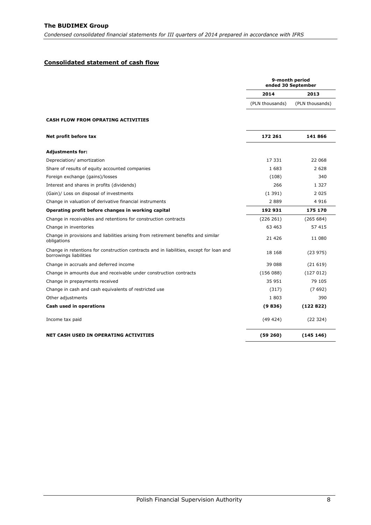# <span id="page-8-0"></span>**Consolidated statement of cash flow**

|                                                                                                                   |                 | 9-month period<br>ended 30 September |
|-------------------------------------------------------------------------------------------------------------------|-----------------|--------------------------------------|
|                                                                                                                   | 2014            | 2013                                 |
|                                                                                                                   | (PLN thousands) | (PLN thousands)                      |
| <b>CASH FLOW FROM OPRATING ACTIVITIES</b>                                                                         |                 |                                      |
| Net profit before tax                                                                                             | 172 261         | 141 866                              |
| <b>Adjustments for:</b>                                                                                           |                 |                                      |
| Depreciation/ amortization                                                                                        | 17 331          | 22 068                               |
| Share of results of equity accounted companies                                                                    | 1 683           | 2 6 2 8                              |
| Foreign exchange (gains)/losses                                                                                   | (108)           | 340                                  |
| Interest and shares in profits (dividends)                                                                        | 266             | 1 3 2 7                              |
| (Gain)/ Loss on disposal of investments                                                                           | (1391)          | 2 0 2 5                              |
| Change in valuation of derivative financial instruments                                                           | 2889            | 4916                                 |
| Operating profit before changes in working capital                                                                | 192 931         | 175 170                              |
| Change in receivables and retentions for construction contracts                                                   | (226 261)       | (265684)                             |
| Change in inventories                                                                                             | 63 463          | 57 415                               |
| Change in provisions and liabilities arising from retirement benefits and similar<br>obligations                  | 21 4 26         | 11 080                               |
| Change in retentions for construction contracts and in liabilities, except for loan and<br>borrowings liabilities | 18 168          | (23975)                              |
| Change in accruals and deferred income                                                                            | 39 088          | (21619)                              |
| Change in amounts due and receivable under construction contracts                                                 | (156088)        | (127012)                             |
| Change in prepayments received                                                                                    | 35 951          | 79 105                               |
| Change in cash and cash equivalents of restricted use                                                             | (317)           | (7692)                               |
| Other adjustments                                                                                                 | 1803            | 390                                  |
| Cash used in operations                                                                                           | (9836)          | (122822)                             |
| Income tax paid                                                                                                   | (49 424)        | (22 324)                             |
| NET CASH USED IN OPERATING ACTIVITIES                                                                             | (59 260)        | (145146)                             |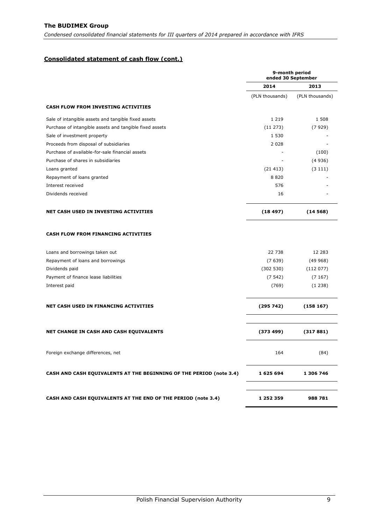# **Consolidated statement of cash flow (cont.)**

|                                                                      | 9-month period<br>ended 30 September |                 |  |
|----------------------------------------------------------------------|--------------------------------------|-----------------|--|
|                                                                      | 2014                                 | 2013            |  |
|                                                                      | (PLN thousands)                      | (PLN thousands) |  |
| <b>CASH FLOW FROM INVESTING ACTIVITIES</b>                           |                                      |                 |  |
| Sale of intangible assets and tangible fixed assets                  | 1 2 1 9                              | 1 508           |  |
| Purchase of intangible assets and tangible fixed assets              | (11 273)                             | (7929)          |  |
| Sale of investment property                                          | 1 5 3 0                              |                 |  |
| Proceeds from disposal of subsidiaries                               | 2 0 2 8                              |                 |  |
| Purchase of available-for-sale financial assets                      |                                      | (100)           |  |
| Purchase of shares in subsidiaries                                   |                                      | (4936)          |  |
| Loans granted                                                        | (21413)                              | (3111)          |  |
| Repayment of loans granted                                           | 8820                                 |                 |  |
| Interest received                                                    | 576                                  |                 |  |
| Dividends received                                                   | 16                                   |                 |  |
| NET CASH USED IN INVESTING ACTIVITIES                                | (18497)                              | (14568)         |  |
| <b>CASH FLOW FROM FINANCING ACTIVITIES</b>                           |                                      |                 |  |
| Loans and borrowings taken out                                       | 22 738                               | 12 283          |  |
| Repayment of loans and borrowings                                    | (7639)                               | (49968)         |  |
| Dividends paid                                                       | (302530)                             | (112077)        |  |
| Payment of finance lease liabilities                                 | (7542)                               | (7167)          |  |
| Interest paid                                                        | (769)                                | (1238)          |  |
| NET CASH USED IN FINANCING ACTIVITIES                                | (295742)                             | (158167)        |  |
| NET CHANGE IN CASH AND CASH EQUIVALENTS                              | (373 499)                            | (317881)        |  |
| Foreign exchange differences, net                                    | 164                                  | (84)            |  |
| CASH AND CASH EQUIVALENTS AT THE BEGINNING OF THE PERIOD (note 3.4)  | 1 625 694                            | 1 306 746       |  |
| <b>CASH AND CASH EQUIVALENTS AT THE END OF THE PERIOD (note 3.4)</b> | 1 252 359                            | 988 781         |  |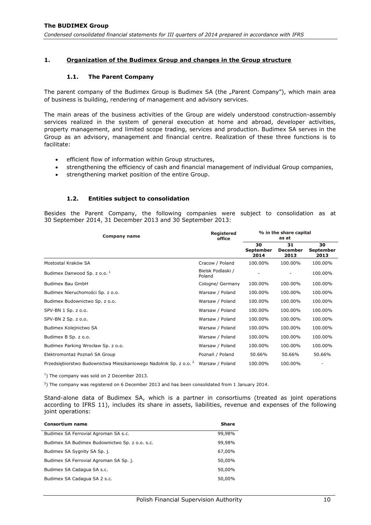### <span id="page-10-1"></span><span id="page-10-0"></span>**1. Organization of the Budimex Group and changes in the Group structure**

#### **1.1. The Parent Company**

The parent company of the Budimex Group is Budimex SA (the "Parent Company"), which main area of business is building, rendering of management and advisory services.

The main areas of the business activities of the Group are widely understood construction-assembly services realized in the system of general execution at home and abroad, developer activities, property management, and limited scope trading, services and production. Budimex SA serves in the Group as an advisory, management and financial centre. Realization of these three functions is to facilitate:

- efficient flow of information within Group structures,
- strengthening the efficiency of cash and financial management of individual Group companies,
- strengthening market position of the entire Group.

#### **1.2. Entities subject to consolidation**

<span id="page-10-2"></span>Besides the Parent Company, the following companies were subject to consolidation as at 30 September 2014, 31 December 2013 and 30 September 2013:

| Company name                                                                 | <b>Registered</b><br>office | % in the share capital<br>as at |                               |                         |  |
|------------------------------------------------------------------------------|-----------------------------|---------------------------------|-------------------------------|-------------------------|--|
|                                                                              |                             | 30<br><b>September</b><br>2014  | 31<br><b>December</b><br>2013 | 30<br>September<br>2013 |  |
| Mostostal Kraków SA                                                          | Cracow / Poland             | 100.00%                         | 100.00%                       | 100.00%                 |  |
| Budimex Danwood Sp. z o.o. <sup>1</sup>                                      | Bielsk Podlaski /<br>Poland |                                 |                               | 100.00%                 |  |
| Budimex Bau GmbH                                                             | Cologne/ Germany            | 100.00%                         | 100.00%                       | 100.00%                 |  |
| Budimex Nieruchomości Sp. z o.o.                                             | Warsaw / Poland             | 100.00%                         | 100.00%                       | 100.00%                 |  |
| Budimex Budownictwo Sp. z o.o.                                               | Warsaw / Poland             | 100.00%                         | 100.00%                       | 100.00%                 |  |
| SPV-BN 1 Sp. z o.o.                                                          | Warsaw / Poland             | 100.00%                         | 100.00%                       | 100.00%                 |  |
| SPV-BN 2 Sp. z o.o.                                                          | Warsaw / Poland             | 100.00%                         | 100.00%                       | 100.00%                 |  |
| Budimex Kolejnictwo SA                                                       | Warsaw / Poland             | 100.00%                         | 100.00%                       | 100.00%                 |  |
| Budimex B Sp. z o.o.                                                         | Warsaw / Poland             | 100.00%                         | 100.00%                       | 100.00%                 |  |
| Budimex Parking Wrocław Sp. z o.o.                                           | Warsaw / Poland             | 100.00%                         | 100.00%                       | 100.00%                 |  |
| Elektromontaż Poznań SA Group                                                | Poznań / Poland             | 50.66%                          | 50.66%                        | 50.66%                  |  |
| Przedsiębiorstwo Budownictwa Mieszkaniowego Nadolnik Sp. z o.o. <sup>2</sup> | Warsaw / Poland             | 100.00%                         | 100.00%                       |                         |  |

 $<sup>1</sup>$ ) The company was sold on 2 December 2013.</sup>

2 ) The company was registered on 6 December 2013 and has been consolidated from 1 January 2014.

Stand-alone data of Budimex SA, which is a partner in consortiums (treated as joint operations according to IFRS 11), includes its share in assets, liabilities, revenue and expenses of the following joint operations:

| <b>Consortium name</b>                         | <b>Share</b> |
|------------------------------------------------|--------------|
| Budimex SA Ferrovial Agroman SA s.c.           | 99,98%       |
| Budimex SA Budimex Budownictwo Sp. z o.o. s.c. | 99,98%       |
| Budimex SA Sygnity SA Sp. j.                   | 67,00%       |
| Budimex SA Ferrovial Agroman SA Sp. j.         | 50,00%       |
| Budimex SA Cadagua SA s.c.                     | 50,00%       |
| Budimex SA Cadagua SA 2 s.c.                   | 50,00%       |
|                                                |              |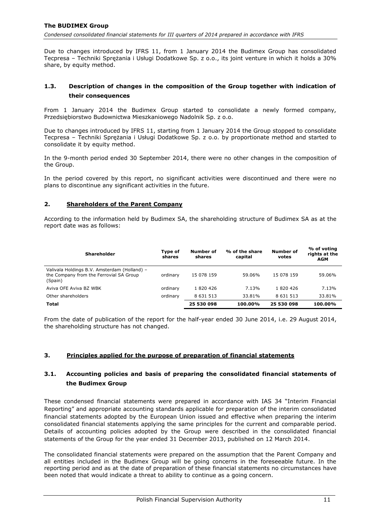Due to changes introduced by IFRS 11, from 1 January 2014 the Budimex Group has consolidated Tecpresa – Techniki Sprężania i Usługi Dodatkowe Sp. z o.o., its joint venture in which it holds a 30% share, by equity method.

## <span id="page-11-0"></span>**1.3. Description of changes in the composition of the Group together with indication of their consequences**

From 1 January 2014 the Budimex Group started to consolidate a newly formed company, Przedsiębiorstwo Budownictwa Mieszkaniowego Nadolnik Sp. z o.o.

Due to changes introduced by IFRS 11, starting from 1 January 2014 the Group stopped to consolidate Tecpresa – Techniki Sprężania i Usługi Dodatkowe Sp. z o.o. by proportionate method and started to consolidate it by equity method.

In the 9-month period ended 30 September 2014, there were no other changes in the composition of the Group.

In the period covered by this report, no significant activities were discontinued and there were no plans to discontinue any significant activities in the future.

### <span id="page-11-1"></span>**2. Shareholders of the Parent Company**

According to the information held by Budimex SA, the shareholding structure of Budimex SA as at the report date was as follows:

| <b>Shareholder</b>                                                                                 | Type of<br>shares | Number of<br>shares | % of the share<br>capital | <b>Number of</b><br>votes | % of voting<br>rights at the<br><b>AGM</b> |
|----------------------------------------------------------------------------------------------------|-------------------|---------------------|---------------------------|---------------------------|--------------------------------------------|
| Valivala Holdings B.V. Amsterdam (Holland) -<br>the Company from the Ferrovial SA Group<br>(Spain) | ordinary          | 15 078 159          | 59.06%                    | 15 078 159                | 59.06%                                     |
| Aviva OFE Aviva BZ WBK                                                                             | ordinary          | 1820426             | 7.13%                     | 1820426                   | 7.13%                                      |
| Other shareholders                                                                                 | ordinary          | 8 6 3 1 5 1 3       | 33.81%                    | 8 6 31 5 13               | 33.81%                                     |
| <b>Total</b>                                                                                       |                   | 25 530 098          | 100.00%                   | 25 530 098                | 100.00%                                    |

From the date of publication of the report for the half-year ended 30 June 2014, i.e. 29 August 2014, the shareholding structure has not changed.

# <span id="page-11-2"></span>**3. Principles applied for the purpose of preparation of financial statements**

# <span id="page-11-3"></span>**3.1. Accounting policies and basis of preparing the consolidated financial statements of the Budimex Group**

These condensed financial statements were prepared in accordance with IAS 34 "Interim Financial Reporting" and appropriate accounting standards applicable for preparation of the interim consolidated financial statements adopted by the European Union issued and effective when preparing the interim consolidated financial statements applying the same principles for the current and comparable period. Details of accounting policies adopted by the Group were described in the consolidated financial statements of the Group for the year ended 31 December 2013, published on 12 March 2014.

The consolidated financial statements were prepared on the assumption that the Parent Company and all entities included in the Budimex Group will be going concerns in the foreseeable future. In the reporting period and as at the date of preparation of these financial statements no circumstances have been noted that would indicate a threat to ability to continue as a going concern.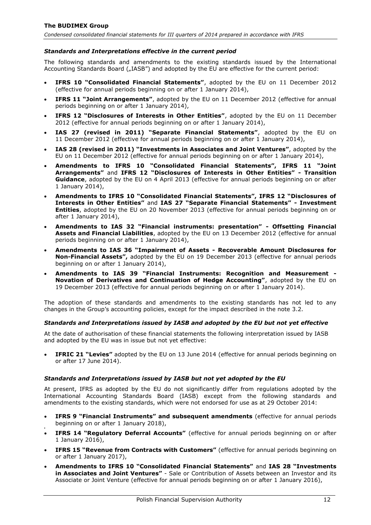### *Standards and Interpretations effective in the current period*

The following standards and amendments to the existing standards issued by the International Accounting Standards Board ("IASB") and adopted by the EU are effective for the current period:

- **IFRS 10 "Consolidated Financial Statements"**, adopted by the EU on 11 December 2012 (effective for annual periods beginning on or after 1 January 2014),
- **IFRS 11 "Joint Arrangements"**, adopted by the EU on 11 December 2012 (effective for annual periods beginning on or after 1 January 2014),
- **IFRS 12 "Disclosures of Interests in Other Entities"**, adopted by the EU on 11 December 2012 (effective for annual periods beginning on or after 1 January 2014),
- **IAS 27 (revised in 2011) "Separate Financial Statements"**, adopted by the EU on 11 December 2012 (effective for annual periods beginning on or after 1 January 2014),
- **IAS 28 (revised in 2011) "Investments in Associates and Joint Ventures"**, adopted by the EU on 11 December 2012 (effective for annual periods beginning on or after 1 January 2014),
- **Amendments to IFRS 10 "Consolidated Financial Statements", IFRS 11 "Joint Arrangements"** and **IFRS 12 "Disclosures of Interests in Other Entities" - Transition Guidance**, adopted by the EU on 4 April 2013 (effective for annual periods beginning on or after 1 January 2014),
- **Amendments to IFRS 10 "Consolidated Financial Statements", IFRS 12 "Disclosures of Interests in Other Entities"** and **IAS 27 "Separate Financial Statements" - Investment Entities**, adopted by the EU on 20 November 2013 (effective for annual periods beginning on or after 1 January 2014),
- **Amendments to IAS 32 "Financial instruments: presentation" - Offsetting Financial Assets and Financial Liabilities**, adopted by the EU on 13 December 2012 (effective for annual periods beginning on or after 1 January 2014),
- **Amendments to IAS 36 "Impairment of Assets - Recoverable Amount Disclosures for Non-Financial Assets",** adopted by the EU on 19 December 2013 (effective for annual periods beginning on or after 1 January 2014),
- **Amendments to IAS 39 "Financial Instruments: Recognition and Measurement - Novation of Derivatives and Continuation of Hedge Accounting"**, adopted by the EU on 19 December 2013 (effective for annual periods beginning on or after 1 January 2014).

The adoption of these standards and amendments to the existing standards has not led to any changes in the Group's accounting policies, except for the impact described in the note 3.2.

#### *Standards and Interpretations issued by IASB and adopted by the EU but not yet effective*

At the date of authorisation of these financial statements the following interpretation issued by IASB and adopted by the EU was in issue but not yet effective:

 **IFRIC 21 "Levies"** adopted by the EU on 13 June 2014 (effective for annual periods beginning on or after 17 June 2014).

#### *Standards and Interpretations issued by IASB but not yet adopted by the EU*

At present, IFRS as adopted by the EU do not significantly differ from regulations adopted by the International Accounting Standards Board (IASB) except from the following standards and amendments to the existing standards, which were not endorsed for use as at 29 October 2014:

- **IFRS 9 "Financial Instruments" and subsequent amendments** (effective for annual periods beginning on or after 1 January 2018),
- . **IFRS 14 "Regulatory Deferral Accounts"** (effective for annual periods beginning on or after 1 January 2016),
- **IFRS 15 "Revenue from Contracts with Customers"** (effective for annual periods beginning on or after 1 January 2017),
- **Amendments to IFRS 10 "Consolidated Financial Statements"** and **IAS 28 "Investments in Associates and Joint Ventures"** - Sale or Contribution of Assets between an Investor and its Associate or Joint Venture (effective for annual periods beginning on or after 1 January 2016),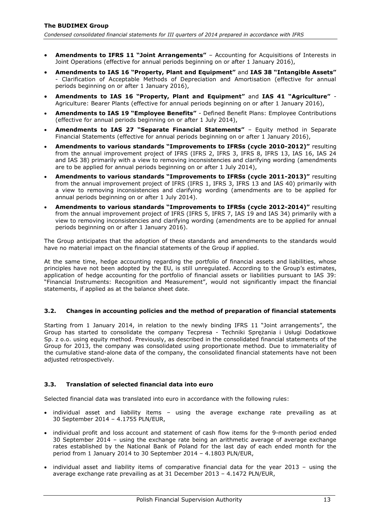- **Amendments to IFRS 11 "Joint Arrangements"**  Accounting for Acquisitions of Interests in Joint Operations (effective for annual periods beginning on or after 1 January 2016),
- **Amendments to IAS 16 "Property, Plant and Equipment"** and **IAS 38 "Intangible Assets"** - Clarification of Acceptable Methods of Depreciation and Amortisation (effective for annual periods beginning on or after 1 January 2016),
- **Amendments to IAS 16 "Property, Plant and Equipment"** and **IAS 41 "Agriculture"** Agriculture: Bearer Plants (effective for annual periods beginning on or after 1 January 2016),
- **Amendments to IAS 19 "Employee Benefits"** Defined Benefit Plans: Employee Contributions (effective for annual periods beginning on or after 1 July 2014),
- **Amendments to IAS 27 "Separate Financial Statements"** Equity method in Separate Financial Statements (effective for annual periods beginning on or after 1 January 2016),
- **Amendments to various standards "Improvements to IFRSs (cycle 2010-2012)"** resulting from the annual improvement project of IFRS (IFRS 2, IFRS 3, IFRS 8, IFRS 13, IAS 16, IAS 24 and IAS 38) primarily with a view to removing inconsistencies and clarifying wording (amendments are to be applied for annual periods beginning on or after 1 July 2014),
- **Amendments to various standards "Improvements to IFRSs (cycle 2011-2013)"** resulting from the annual improvement project of IFRS (IFRS 1, IFRS 3, IFRS 13 and IAS 40) primarily with a view to removing inconsistencies and clarifying wording (amendments are to be applied for annual periods beginning on or after 1 July 2014).
- **Amendments to various standards "Improvements to IFRSs (cycle 2012-2014)"** resulting from the annual improvement project of IFRS (IFRS 5, IFRS 7, IAS 19 and IAS 34) primarily with a view to removing inconsistencies and clarifying wording (amendments are to be applied for annual periods beginning on or after 1 January 2016).

The Group anticipates that the adoption of these standards and amendments to the standards would have no material impact on the financial statements of the Group if applied.

At the same time, hedge accounting regarding the portfolio of financial assets and liabilities, whose principles have not been adopted by the EU, is still unregulated. According to the Group's estimates, application of hedge accounting for the portfolio of financial assets or liabilities pursuant to IAS 39: "Financial Instruments: Recognition and Measurement", would not significantly impact the financial statements, if applied as at the balance sheet date.

## <span id="page-13-0"></span>**3.2. Changes in accounting policies and the method of preparation of financial statements**

Starting from 1 January 2014, in relation to the newly binding IFRS 11 "Joint arrangements", the Group has started to consolidate the company Tecpresa - Techniki Sprężania i Usługi Dodatkowe Sp. z o.o. using equity method. Previously, as described in the consolidated financial statements of the Group for 2013, the company was consolidated using proportionate method. Due to immateriality of the cumulative stand-alone data of the company, the consolidated financial statements have not been adjusted retrospectively.

### <span id="page-13-1"></span>**3.3. Translation of selected financial data into euro**

Selected financial data was translated into euro in accordance with the following rules:

- individual asset and liability items using the average exchange rate prevailing as at 30 September 2014 – 4.1755 PLN/EUR,
- individual profit and loss account and statement of cash flow items for the 9-month period ended 30 September 2014 – using the exchange rate being an arithmetic average of average exchange rates established by the National Bank of Poland for the last day of each ended month for the period from 1 January 2014 to 30 September 2014 – 4.1803 PLN/EUR,
- individual asset and liability items of comparative financial data for the year 2013 using the average exchange rate prevailing as at 31 December 2013 – 4.1472 PLN/EUR,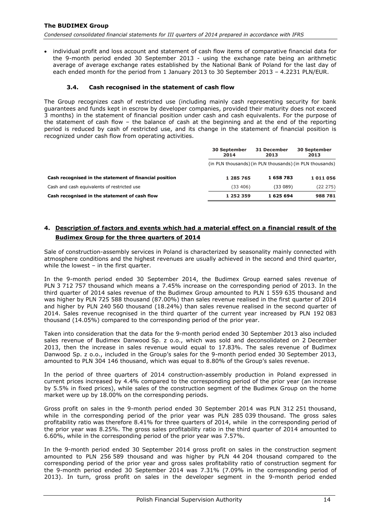• individual profit and loss account and statement of cash flow items of comparative financial data for the 9-month period ended 30 September 2013 - using the exchange rate being an arithmetic average of average exchange rates established by the National Bank of Poland for the last day of each ended month for the period from 1 January 2013 to 30 September 2013 – 4.2231 PLN/EUR.

### **3.4. Cash recognised in the statement of cash flow**

<span id="page-14-0"></span>The Group recognizes cash of restricted use (including mainly cash representing security for bank guarantees and funds kept in escrow by developer companies, provided their maturity does not exceed 3 months) in the statement of financial position under cash and cash equivalents. For the purpose of the statement of cash flow – the balance of cash at the beginning and at the end of the reporting period is reduced by cash of restricted use, and its change in the statement of financial position is recognized under cash flow from operating activities.

|                                                        | <b>30 September</b><br>2014                              | 31 December<br>2013 | <b>30 September</b><br>2013 |
|--------------------------------------------------------|----------------------------------------------------------|---------------------|-----------------------------|
|                                                        | (in PLN thousands) (in PLN thousands) (in PLN thousands) |                     |                             |
| Cash recognised in the statement of financial position | 1 285 765                                                | 1658783             | 1011056                     |
| Cash and cash equivalents of restricted use            | (33, 406)                                                | (33 089)            | (22 275)                    |
| Cash recognised in the statement of cash flow          | 1 252 359                                                | 1 625 694           | 988 781                     |

# <span id="page-14-1"></span>**4. Description of factors and events which had a material effect on a financial result of the Budimex Group for the three quarters of 2014**

Sale of construction-assembly services in Poland is characterized by seasonality mainly connected with atmosphere conditions and the highest revenues are usually achieved in the second and third quarter, while the lowest – in the first quarter.

In the 9-month period ended 30 September 2014, the Budimex Group earned sales revenue of PLN 3 712 757 thousand which means a 7.45% increase on the corresponding period of 2013. In the third quarter of 2014 sales revenue of the Budimex Group amounted to PLN 1 559 635 thousand and was higher by PLN 725 588 thousand (87.00%) than sales revenue realised in the first quarter of 2014 and higher by PLN 240 560 thousand (18.24%) than sales revenue realised in the second quarter of 2014. Sales revenue recognised in the third quarter of the current year increased by PLN 192 083 thousand (14.05%) compared to the corresponding period of the prior year.

Taken into consideration that the data for the 9-month period ended 30 September 2013 also included sales revenue of Budimex Danwood Sp. z o.o., which was sold and deconsolidated on 2 December 2013, then the increase in sales revenue would equal to 17.83%. The sales revenue of Budimex Danwood Sp. z o.o., included in the Group's sales for the 9-month period ended 30 September 2013, amounted to PLN 304 146 thousand, which was equal to 8.80% of the Group's sales revenue.

In the period of three quarters of 2014 construction-assembly production in Poland expressed in current prices increased by 4.4% compared to the corresponding period of the prior year (an increase by 5.5% in fixed prices), while sales of the construction segment of the Budimex Group on the home market were up by 18.00% on the corresponding periods.

Gross profit on sales in the 9-month period ended 30 September 2014 was PLN 312 251 thousand, while in the corresponding period of the prior year was PLN 285 039 thousand. The gross sales profitability ratio was therefore 8.41% for three quarters of 2014, while in the corresponding period of the prior year was 8.25%. The gross sales profitability ratio in the third quarter of 2014 amounted to 6.60%, while in the corresponding period of the prior year was 7.57%.

In the 9-month period ended 30 September 2014 gross profit on sales in the construction segment amounted to PLN 256 589 thousand and was higher by PLN 44 204 thousand compared to the corresponding period of the prior year and gross sales profitability ratio of construction segment for the 9-month period ended 30 September 2014 was 7.31% (7.09% in the corresponding period of 2013). In turn, gross profit on sales in the developer segment in the 9-month period ended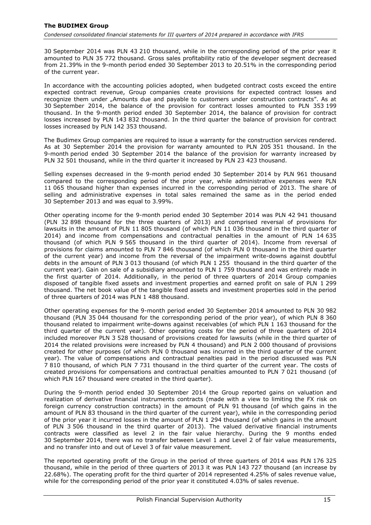30 September 2014 was PLN 43 210 thousand, while in the corresponding period of the prior year it amounted to PLN 35 772 thousand. Gross sales profitability ratio of the developer segment decreased from 21.39% in the 9-month period ended 30 September 2013 to 20.51% in the corresponding period of the current year.

In accordance with the accounting policies adopted, when budgeted contract costs exceed the entire expected contract revenue, Group companies create provisions for expected contract losses and recognize them under "Amounts due and payable to customers under construction contracts". As at 30 September 2014, the balance of the provision for contract losses amounted to PLN 353 199 thousand. In the 9-month period ended 30 September 2014, the balance of provision for contract losses increased by PLN 143 832 thousand. In the third quarter the balance of provision for contract losses increased by PLN 142 353 thousand.

The Budimex Group companies are required to issue a warranty for the construction services rendered. As at 30 September 2014 the provision for warranty amounted to PLN 205 351 thousand. In the 9-month period ended 30 September 2014 the balance of the provision for warranty increased by PLN 32 501 thousand, while in the third quarter it increased by PLN 23 423 thousand.

Selling expenses decreased in the 9-month period ended 30 September 2014 by PLN 961 thousand compared to the corresponding period of the prior year, while administrative expenses were PLN 11 065 thousand higher than expenses incurred in the corresponding period of 2013. The share of selling and administrative expenses in total sales remained the same as in the period ended 30 September 2013 and was equal to 3.99%.

Other operating income for the 9-month period ended 30 September 2014 was PLN 42 941 thousand (PLN 32 898 thousand for the three quarters of 2013) and comprised reversal of provisions for lawsuits in the amount of PLN 11 805 thousand (of which PLN 11 036 thousand in the third quarter of 2014) and income from compensations and contractual penalties in the amount of PLN 14 635 thousand (of which PLN 9 565 thousand in the third quarter of 2014). Income from reversal of provisions for claims amounted to PLN 7 846 thousand (of which PLN 0 thousand in the third quarter of the current year) and income from the reversal of the impairment write-downs against doubtful debts in the amount of PLN 3 013 thousand (of which PLN 1 255 thousand in the third quarter of the current year). Gain on sale of a subsidiary amounted to PLN 1 759 thousand and was entirely made in the first quarter of 2014. Additionally, in the period of three quarters of 2014 Group companies disposed of tangible fixed assets and investment properties and earned profit on sale of PLN 1 299 thousand. The net book value of the tangible fixed assets and investment properties sold in the period of three quarters of 2014 was PLN 1 488 thousand.

Other operating expenses for the 9-month period ended 30 September 2014 amounted to PLN 30 982 thousand (PLN 35 044 thousand for the corresponding period of the prior year), of which PLN 8 360 thousand related to impairment write-downs against receivables (of which PLN 1 163 thousand for the third quarter of the current year). Other operating costs for the period of three quarters of 2014 included moreover PLN 3 528 thousand of provisions created for lawsuits (while in the third quarter of 2014 the related provisions were increased by PLN 4 thousand) and PLN 2 000 thousand of provisions created for other purposes (of which PLN 0 thousand was incurred in the third quarter of the current year). The value of compensations and contractual penalties paid in the period discussed was PLN 7 810 thousand, of which PLN 7 731 thousand in the third quarter of the current year. The costs of created provisions for compensations and contractual penalties amounted to PLN 7 021 thousand (of which PLN 167 thousand were created in the third quarter).

During the 9-month period ended 30 September 2014 the Group reported gains on valuation and realization of derivative financial instruments contracts (made with a view to limiting the FX risk on foreign currency construction contracts) in the amount of PLN 91 thousand (of which gains in the amount of PLN 83 thousand in the third quarter of the current year), while in the corresponding period of the prior year it incurred losses in the amount of PLN 1 294 thousand (of which gains in the amount of PLN 3 506 thousand in the third quarter of 2013). The valued derivative financial instruments contracts were classified as level 2 in the fair value hierarchy. During the 9 months ended 30 September 2014, there was no transfer between Level 1 and Level 2 of fair value measurements, and no transfer into and out of Level 3 of fair value measurement.

The reported operating profit of the Group in the period of three quarters of 2014 was PLN 176 325 thousand, while in the period of three quarters of 2013 it was PLN 143 727 thousand (an increase by 22.68%). The operating profit for the third quarter of 2014 represented 4.25% of sales revenue value, while for the corresponding period of the prior year it constituted 4.03% of sales revenue.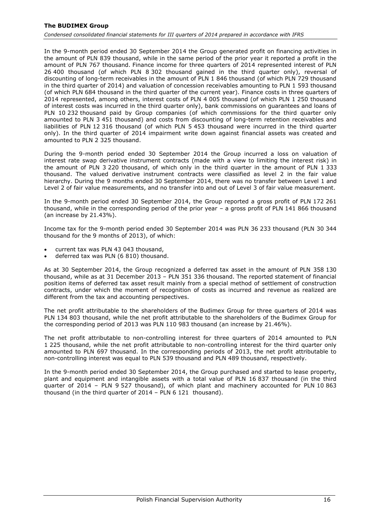In the 9-month period ended 30 September 2014 the Group generated profit on financing activities in the amount of PLN 839 thousand, while in the same period of the prior year it reported a profit in the amount of PLN 767 thousand. Finance income for three quarters of 2014 represented interest of PLN 26 400 thousand (of which PLN 8 302 thousand gained in the third quarter only), reversal of discounting of long-term receivables in the amount of PLN 1 846 thousand (of which PLN 729 thousand in the third quarter of 2014) and valuation of concession receivables amounting to PLN 1 593 thousand (of which PLN 684 thousand in the third quarter of the current year). Finance costs in three quarters of 2014 represented, among others, interest costs of PLN 4 005 thousand (of which PLN 1 250 thousand of interest costs was incurred in the third quarter only), bank commissions on guarantees and loans of PLN 10 232 thousand paid by Group companies (of which commissions for the third quarter only amounted to PLN 3 451 thousand) and costs from discounting of long-term retention receivables and liabilities of PLN 12 316 thousand (of which PLN 5 453 thousand were incurred in the third quarter only). In the third quarter of 2014 impairment write down against financial assets was created and amounted to PLN 2 325 thousand.

During the 9-month period ended 30 September 2014 the Group incurred a loss on valuation of interest rate swap derivative instrument contracts (made with a view to limiting the interest risk) in the amount of PLN 3 220 thousand, of which only in the third quarter in the amount of PLN 1 333 thousand. The valued derivative instrument contracts were classified as level 2 in the fair value hierarchy. During the 9 months ended 30 September 2014, there was no transfer between Level 1 and Level 2 of fair value measurements, and no transfer into and out of Level 3 of fair value measurement.

In the 9-month period ended 30 September 2014, the Group reported a gross profit of PLN 172 261 thousand, while in the corresponding period of the prior year – a gross profit of PLN 141 866 thousand (an increase by 21.43%).

Income tax for the 9-month period ended 30 September 2014 was PLN 36 233 thousand (PLN 30 344 thousand for the 9 months of 2013), of which:

- current tax was PLN 43 043 thousand,
- deferred tax was PLN (6 810) thousand.

As at 30 September 2014, the Group recognized a deferred tax asset in the amount of PLN 358 130 thousand, while as at 31 December 2013 – PLN 351 336 thousand. The reported statement of financial position items of deferred tax asset result mainly from a special method of settlement of construction contracts, under which the moment of recognition of costs as incurred and revenue as realized are different from the tax and accounting perspectives.

The net profit attributable to the shareholders of the Budimex Group for three quarters of 2014 was PLN 134 803 thousand, while the net profit attributable to the shareholders of the Budimex Group for the corresponding period of 2013 was PLN 110 983 thousand (an increase by 21.46%).

The net profit attributable to non-controlling interest for three quarters of 2014 amounted to PLN 1 225 thousand, while the net profit attributable to non-controlling interest for the third quarter only amounted to PLN 697 thousand. In the corresponding periods of 2013, the net profit attributable to non-controlling interest was equal to PLN 539 thousand and PLN 489 thousand, respectively.

In the 9-month period ended 30 September 2014, the Group purchased and started to lease property, plant and equipment and intangible assets with a total value of PLN 16 837 thousand (in the third quarter of  $2014$  – PLN 9 527 thousand), of which plant and machinery accounted for PLN 10 863 thousand (in the third quarter of 2014 – PLN 6 121 thousand).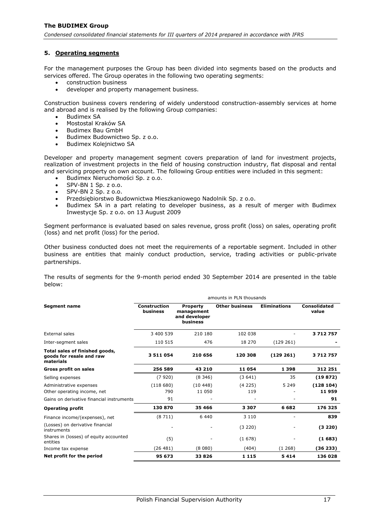### <span id="page-17-0"></span>**5. Operating segments**

For the management purposes the Group has been divided into segments based on the products and services offered. The Group operates in the following two operating segments:

- construction business
- developer and property management business.

Construction business covers rendering of widely understood construction-assembly services at home and abroad and is realised by the following Group companies:

- Budimex SA
- Mostostal Kraków SA
- Budimex Bau GmbH
- Budimex Budownictwo Sp. z o.o.
- Budimex Kolejnictwo SA

Developer and property management segment covers preparation of land for investment projects, realization of investment projects in the field of housing construction industry, flat disposal and rental and servicing property on own account. The following Group entities were included in this segment:

- Budimex Nieruchomości Sp. z o.o.
- SPV-BN 1 Sp. z o.o.
- SPV-BN 2 Sp. z o.o.
- Przedsiębiorstwo Budownictwa Mieszkaniowego Nadolnik Sp. z o.o.
- Budimex SA in a part relating to developer business, as a result of merger with Budimex Inwestycje Sp. z o.o. on 13 August 2009

Segment performance is evaluated based on sales revenue, gross profit (loss) on sales, operating profit (loss) and net profit (loss) for the period.

Other business conducted does not meet the requirements of a reportable segment. Included in other business are entities that mainly conduct production, service, trading activities or public-private partnerships.

The results of segments for the 9-month period ended 30 September 2014 are presented in the table below:

| amounts in PLN thousands                                                |                                 |                                                            |                       |                     |                       |
|-------------------------------------------------------------------------|---------------------------------|------------------------------------------------------------|-----------------------|---------------------|-----------------------|
| <b>Segment name</b>                                                     | <b>Construction</b><br>business | <b>Property</b><br>management<br>and developer<br>business | <b>Other business</b> | <b>Eliminations</b> | Consolidated<br>value |
| External sales                                                          | 3 400 539                       | 210 180                                                    | 102 038               |                     | 3712757               |
| Inter-segment sales                                                     | 110 515                         | 476                                                        | 18 270                | (129 261)           |                       |
| Total sales of finished goods,<br>goods for resale and raw<br>materials | 3511054                         | 210 656                                                    | 120 308               | (129 261)           | 3712757               |
| <b>Gross profit on sales</b>                                            | 256 589                         | 43 210                                                     | 11 054                | 1 3 9 8             | 312 251               |
| Selling expenses                                                        | (7920)                          | (8, 346)                                                   | (3641)                | 35                  | (19872)               |
| Administrative expenses<br>Other operating income, net                  | (118680)<br>790                 | (10448)<br>11 050                                          | (4225)<br>119         | 5 2 4 9             | (128104)<br>11959     |
| Gains on derivative financial instruments                               | 91                              |                                                            |                       |                     | 91                    |
| <b>Operating profit</b>                                                 | 130 870                         | 35 4 66                                                    | 3 3 0 7               | 6682                | 176 325               |
| Finance income/(expenses), net                                          | (8711)                          | 6 4 4 0                                                    | 3 1 1 0               |                     | 839                   |
| (Losses) on derivative financial<br>instruments                         | ٠                               |                                                            | (3 220)               |                     | (3 220)               |
| Shares in (losses) of equity accounted<br>entities                      | (5)                             |                                                            | (1678)                |                     | (1683)                |
| Income tax expense                                                      | (26481)                         | (8080)                                                     | (404)                 | (1, 268)            | (36 233)              |
| Net profit for the period                                               | 95 673                          | 33826                                                      | 1 1 1 5               | 5414                | 136 028               |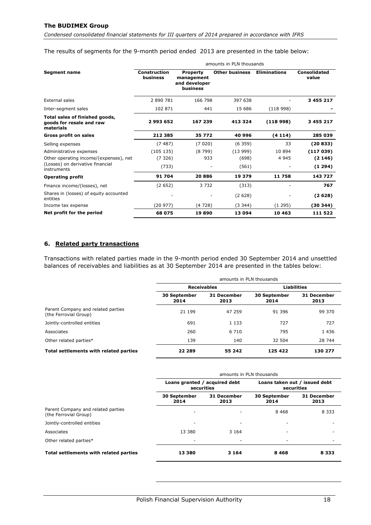*Condensed consolidated financial statements for III quarters of 2014 prepared in accordance with IFRS*

#### The results of segments for the 9-month period ended 2013 are presented in the table below:

|                                                                         | amounts in PLN thousands        |                                                            |                       |                     |                              |  |  |
|-------------------------------------------------------------------------|---------------------------------|------------------------------------------------------------|-----------------------|---------------------|------------------------------|--|--|
| <b>Segment name</b>                                                     | <b>Construction</b><br>business | <b>Property</b><br>management<br>and developer<br>business | <b>Other business</b> | <b>Eliminations</b> | <b>Consolidated</b><br>value |  |  |
| External sales                                                          | 2 890 781                       | 166 798                                                    | 397 638               |                     | 3 455 217                    |  |  |
| Inter-segment sales                                                     | 102 871                         | 441                                                        | 15 686                | (118998)            |                              |  |  |
| Total sales of finished goods,<br>goods for resale and raw<br>materials | 2993652                         | 167 239                                                    | 413 324               | (118998)            | 3 455 217                    |  |  |
| <b>Gross profit on sales</b>                                            | 212 385                         | 35 772                                                     | 40 996                | (4114)              | 285 039                      |  |  |
| Selling expenses                                                        | (7487)                          | (7020)                                                     | (6359)                | 33                  | (20833)                      |  |  |
| Administrative expenses                                                 | (105135)                        | (8799)                                                     | (13999)               | 10 894              | (117039)                     |  |  |
| Other operating income/(expenses), net                                  | (7326)                          | 933                                                        | (698)                 | 4 9 4 5             | (2146)                       |  |  |
| (Losses) on derivative financial<br>instruments                         | (733)                           |                                                            | (561)                 |                     | (1294)                       |  |  |
| <b>Operating profit</b>                                                 | 91 704                          | 20886                                                      | 19 379                | 11758               | 143 727                      |  |  |
| Finance income/(losses), net                                            | (2652)                          | 3 7 3 2                                                    | (313)                 |                     | 767                          |  |  |
| Shares in (losses) of equity accounted<br>entities                      |                                 |                                                            | (2628)                |                     | (2628)                       |  |  |
| Income tax expense                                                      | (20977)                         | (4728)                                                     | (3344)                | (1295)              | (30344)                      |  |  |
| Net profit for the period                                               | 68 075                          | 19890                                                      | 13 094                | 10 4 63             | 111 522                      |  |  |

## <span id="page-18-0"></span>**6. Related party transactions**

Transactions with related parties made in the 9-month period ended 30 September 2014 and unsettled balances of receivables and liabilities as at 30 September 2014 are presented in the tables below:

|                                                             | amounts in PLN thousands    |                     |                      |                     |  |
|-------------------------------------------------------------|-----------------------------|---------------------|----------------------|---------------------|--|
|                                                             | <b>Receivables</b>          |                     |                      | <b>Liabilities</b>  |  |
|                                                             | <b>30 September</b><br>2014 | 31 December<br>2013 | 30 September<br>2014 | 31 December<br>2013 |  |
| Parent Company and related parties<br>(the Ferrovial Group) | 21 199                      | 47 259              | 91 396               | 99 370              |  |
| Jointly-controlled entities                                 | 691                         | 1 1 3 3             | 727                  | 727                 |  |
| Associates                                                  | 260                         | 6 7 1 0             | 795                  | 1436                |  |
| Other related parties*                                      | 139                         | 140                 | 32 504               | 28 744              |  |
| Total settlements with related parties                      | 22 289                      | 55 242              | 125 422              | 130 277             |  |

|                                                             | amounts in PLN thousands                    |                          |                                             |                     |  |
|-------------------------------------------------------------|---------------------------------------------|--------------------------|---------------------------------------------|---------------------|--|
|                                                             | Loans granted / acquired debt<br>securities |                          | Loans taken out / issued debt<br>securities |                     |  |
|                                                             | <b>30 September</b><br>2014                 | 31 December<br>2013      | <b>30 September</b><br>2014                 | 31 December<br>2013 |  |
| Parent Company and related parties<br>(the Ferrovial Group) |                                             |                          | 8 4 6 8                                     | 8 3 3 3             |  |
| Jointly-controlled entities                                 |                                             | $\overline{\phantom{a}}$ |                                             |                     |  |
| Associates                                                  | 13 380                                      | 3 1 6 4                  |                                             |                     |  |
| Other related parties*                                      |                                             | -                        | ۰                                           |                     |  |
| Total settlements with related parties                      | 13 380                                      | 3 1 6 4                  | 8468                                        | 8 3 3 3             |  |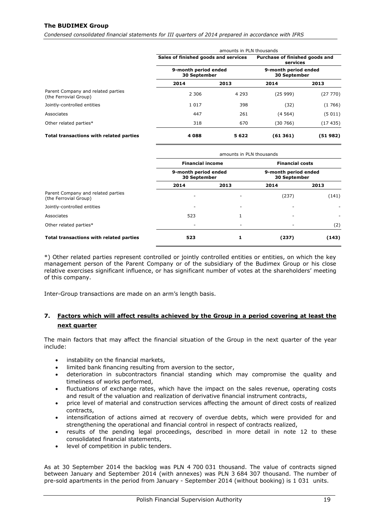*Condensed consolidated financial statements for III quarters of 2014 prepared in accordance with IFRS*

|                                                             | amounts in PLN thousands                    |         |                                             |          |  |
|-------------------------------------------------------------|---------------------------------------------|---------|---------------------------------------------|----------|--|
|                                                             | Sales of finished goods and services        |         | Purchase of finished goods and<br>services  |          |  |
|                                                             | 9-month period ended<br><b>30 September</b> |         | 9-month period ended<br><b>30 September</b> |          |  |
|                                                             | 2014                                        | 2013    | 2014                                        | 2013     |  |
| Parent Company and related parties<br>(the Ferrovial Group) | 2 3 0 6                                     | 4 2 9 3 | (2599)                                      | (27 770) |  |
| Jointly-controlled entities                                 | 1017                                        | 398     | (32)                                        | (1766)   |  |
| Associates                                                  | 447                                         | 261     | (4564)                                      | (5011)   |  |
| Other related parties*                                      | 318                                         | 670     | (30 766)                                    | (17435)  |  |
| Total transactions with related parties                     | 4 0 8 8                                     | 5622    | (61361)                                     | (51 982) |  |

|                                                             | amounts in PLN thousands             |      |                                      |       |  |
|-------------------------------------------------------------|--------------------------------------|------|--------------------------------------|-------|--|
|                                                             | <b>Financial income</b>              |      | <b>Financial costs</b>               |       |  |
|                                                             | 9-month period ended<br>30 September |      | 9-month period ended<br>30 September |       |  |
|                                                             | 2014                                 | 2013 | 2014                                 | 2013  |  |
| Parent Company and related parties<br>(the Ferrovial Group) |                                      | ٠    | (237)                                | (141) |  |
| Jointly-controlled entities                                 |                                      | ٠    |                                      |       |  |
| Associates                                                  | 523                                  |      | -                                    |       |  |
| Other related parties*                                      |                                      | -    |                                      | (2)   |  |
| Total transactions with related parties                     | 523                                  |      | (237)                                | (143) |  |

\*) Other related parties represent controlled or jointly controlled entities or entities, on which the key management person of the Parent Company or of the subsidiary of the Budimex Group or his close relative exercises significant influence, or has significant number of votes at the shareholders' meeting of this company.

Inter-Group transactions are made on an arm's length basis.

# <span id="page-19-0"></span>**7. Factors which will affect results achieved by the Group in a period covering at least the next quarter**

The main factors that may affect the financial situation of the Group in the next quarter of the year include:

- instability on the financial markets,
- limited bank financing resulting from aversion to the sector,
- deterioration in subcontractors financial standing which may compromise the quality and timeliness of works performed,
- fluctuations of exchange rates, which have the impact on the sales revenue, operating costs and result of the valuation and realization of derivative financial instrument contracts,
- price level of material and construction services affecting the amount of direct costs of realized contracts,
- intensification of actions aimed at recovery of overdue debts, which were provided for and strengthening the operational and financial control in respect of contracts realized,
- results of the pending legal proceedings, described in more detail in note [12](#page-22-3) to these consolidated financial statements,
- level of competition in public tenders.

As at 30 September 2014 the backlog was PLN 4 700 031 thousand. The value of contracts signed between January and September 2014 (with annexes) was PLN 3 684 307 thousand. The number of pre-sold apartments in the period from January - September 2014 (without booking) is 1 031 units.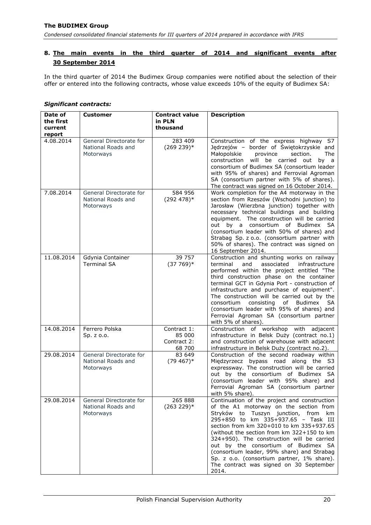# <span id="page-20-0"></span>**8. The main events in the third quarter of 2014 and significant events after 30 September 2014**

In the third quarter of 2014 the Budimex Group companies were notified about the selection of their offer or entered into the following contracts, whose value exceeds 10% of the equity of Budimex SA:

| Date of                        | <b>Customer</b>                                            | <b>Contract value</b><br>in PLN                | <b>Description</b>                                                                                                                                                                                                                                                                                                                                                                                                                                                                                       |
|--------------------------------|------------------------------------------------------------|------------------------------------------------|----------------------------------------------------------------------------------------------------------------------------------------------------------------------------------------------------------------------------------------------------------------------------------------------------------------------------------------------------------------------------------------------------------------------------------------------------------------------------------------------------------|
| the first<br>current<br>report |                                                            | thousand                                       |                                                                                                                                                                                                                                                                                                                                                                                                                                                                                                          |
| 4.08.2014                      | General Directorate for<br>National Roads and<br>Motorways | 283 409<br>$(269 239)*$                        | Construction of the express highway S7<br>Jędrzejów – border of Świętokrzyskie and<br>Małopolskie<br>province<br>section.<br><b>The</b><br>construction<br>will be carried out<br>by a<br>consortium of Budimex SA (consortium leader<br>with 95% of shares) and Ferrovial Agroman<br>SA (consortium partner with 5% of shares).<br>The contract was signed on 16 October 2014.                                                                                                                          |
| 7.08.2014                      | General Directorate for<br>National Roads and<br>Motorways | 584 956<br>$(292 478)*$                        | Work completion for the A4 motorway in the<br>section from Rzeszów (Wschodni junction) to<br>Jarosław (Wierzbna junction) together with<br>necessary technical buildings and building<br>equipment. The construction will be carried<br>out by a consortium of Budimex SA<br>(consortium leader with 50% of shares) and<br>Strabag Sp. z o.o. (consortium partner with<br>50% of shares). The contract was signed on<br>16 September 2014.                                                               |
| 11.08.2014                     | Gdynia Container<br><b>Terminal SA</b>                     | 39 757<br>$(37769)*$                           | Construction and shunting works on railway<br>associated<br>terminal<br>and<br>infrastructure<br>performed within the project entitled "The<br>third construction phase on the container<br>terminal GCT in Gdynia Port - construction of<br>infrastructure and purchase of equipment".<br>The construction will be carried out by the<br>consortium<br>consisting<br>of Budimex<br>SA.<br>(consortium leader with 95% of shares) and<br>Ferrovial Agroman SA (consortium partner<br>with 5% of shares). |
| 14.08.2014                     | Ferrero Polska<br>Sp. z o.o.                               | Contract 1:<br>85 000<br>Contract 2:<br>68 700 | Construction of workshop with adjacent<br>infrastructure in Belsk Duży (contract no.1)<br>and construction of warehouse with adjacent<br>infrastructure in Belsk Duży (contract no.2).                                                                                                                                                                                                                                                                                                                   |
| 29.08.2014                     | General Directorate for<br>National Roads and<br>Motorways | 83 649<br>$(79.467)*$                          | Construction of the second roadway within<br>Międzyrzecz bypass road along the S3<br>expressway. The construction will be carried<br>out by the consortium of Budimex SA<br>(consortium leader with 95% share) and<br>Ferrovial Agroman SA (consortium partner<br>with 5% share).                                                                                                                                                                                                                        |
| 29.08.2014                     | General Directorate for<br>National Roads and<br>Motorways | 265 888<br>$(263 229)*$                        | Continuation of the project and construction<br>of the A1 motorway on the section from<br>Stryków to Tuszyn junction, from km<br>295+850 to km 335+937.65 - Task III<br>section from km 320+010 to km 335+937.65<br>(without the section from km 322+150 to km<br>324+950). The construction will be carried<br>out by the consortium of Budimex SA<br>(consortium leader, 99% share) and Strabag<br>Sp. z o.o. (consortium partner, 1% share).<br>The contract was signed on 30 September<br>2014.      |

#### *Significant contracts:*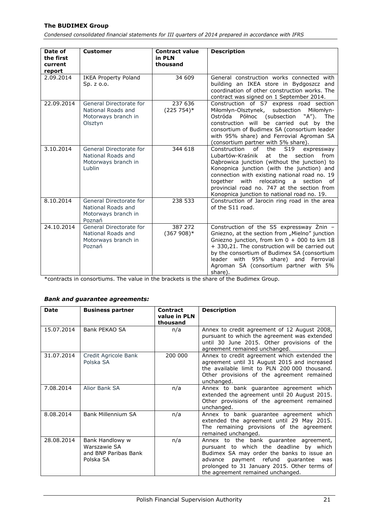*Condensed consolidated financial statements for III quarters of 2014 prepared in accordance with IFRS*

| Date of<br>the first<br>current<br>report | <b>Customer</b>                                                                 | <b>Contract value</b><br>in PLN<br>thousand | <b>Description</b>                                                                                                                                                                                                                                                                                                                                                                                               |
|-------------------------------------------|---------------------------------------------------------------------------------|---------------------------------------------|------------------------------------------------------------------------------------------------------------------------------------------------------------------------------------------------------------------------------------------------------------------------------------------------------------------------------------------------------------------------------------------------------------------|
| 2.09.2014                                 | <b>IKEA Property Poland</b><br>$Sp. z.$ 0.0.                                    | 34 609                                      | General construction works connected with<br>building an IKEA store in Bydgoszcz and<br>coordination of other construction works. The<br>contract was signed on 1 September 2014.                                                                                                                                                                                                                                |
| 22.09.2014                                | General Directorate for<br>National Roads and<br>Motorways branch in<br>Olsztyn | 237 636<br>$(225754)^*$                     | Construction of S7 express road section<br>Miłomłyn-Olsztynek,<br>subsection Miłomłyn-<br>Ostróda<br>Północ (subsection "A").<br><b>The</b><br>construction will be carried out by the<br>consortium of Budimex SA (consortium leader<br>with 95% share) and Ferrovial Agroman SA<br>(consortium partner with 5% share).                                                                                         |
| 3.10.2014                                 | General Directorate for<br>National Roads and<br>Motorways branch in<br>Lublin  | 344 618                                     | Construction of<br>the<br>S <sub>19</sub><br>expressway<br>Lubartów-Kraśnik<br>at<br>the<br>section<br>from<br>Dąbrowica junction (without the junction) to<br>Konopnica junction (with the junction) and<br>connection with existing national road no. 19<br>relocating<br>together<br>with<br>section<br>a<br>of<br>provincial road no. 747 at the section from<br>Konopnica junction to national road no. 19. |
| 8.10.2014                                 | General Directorate for<br>National Roads and<br>Motorways branch in<br>Poznań  | 238 533                                     | Construction of Jarocin ring road in the area<br>of the S11 road.                                                                                                                                                                                                                                                                                                                                                |
| 24.10.2014                                | General Directorate for<br>National Roads and<br>Motorways branch in<br>Poznań  | 387 272<br>$(367908)*$                      | Construction of the S5 expressway Znin -<br>Gniezno, at the section from "Mielno" junction<br>Gniezno junction, from $km 0 + 000$ to $km 18$<br>+ 330,21. The construction will be carried out<br>by the consortium of Budimex SA (consortium<br>leader with 95% share) and Ferrovial<br>Agroman SA (consortium partner with 5%<br>share).                                                                       |

\*contracts in consortiums. The value in the brackets is the share of the Budimex Group.

#### *Bank and guarantee agreements:*

| <b>Date</b> | <b>Business partner</b>                                              | <b>Contract</b><br>value in PLN<br>thousand | <b>Description</b>                                                                                                                                                                                                                                                 |
|-------------|----------------------------------------------------------------------|---------------------------------------------|--------------------------------------------------------------------------------------------------------------------------------------------------------------------------------------------------------------------------------------------------------------------|
| 15.07.2014  | Bank PEKAO SA                                                        | n/a                                         | Annex to credit agreement of 12 August 2008,<br>pursuant to which the agreement was extended<br>until 30 June 2015. Other provisions of the<br>agreement remained unchanged.                                                                                       |
| 31.07.2014  | Credit Agricole Bank<br>Polska SA                                    | 200 000                                     | Annex to credit agreement which extended the<br>agreement until 31 August 2015 and increased<br>the available limit to PLN 200,000 thousand.<br>Other provisions of the agreement remained<br>unchanged.                                                           |
| 7.08.2014   | Alior Bank SA                                                        | n/a                                         | Annex to bank guarantee agreement which<br>extended the agreement until 20 August 2015.<br>Other provisions of the agreement remained<br>unchanged.                                                                                                                |
| 8.08.2014   | <b>Bank Millennium SA</b>                                            | n/a                                         | Annex to bank guarantee agreement which<br>extended the agreement until 29 May 2015.<br>The remaining provisions of the agreement<br>remained unchanged.                                                                                                           |
| 28.08.2014  | Bank Handlowy w<br>Warszawie SA<br>and BNP Paribas Bank<br>Polska SA | n/a                                         | Annex to the bank guarantee agreement,<br>pursuant to which the deadline by which<br>Budimex SA may order the banks to issue an<br>payment refund guarantee<br>advance<br>was<br>prolonged to 31 January 2015. Other terms of<br>the agreement remained unchanged. |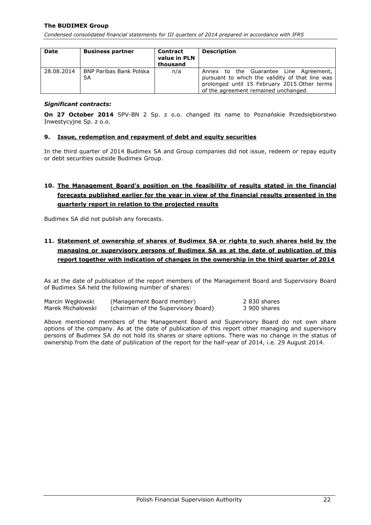*Condensed consolidated financial statements for III quarters of 2014 prepared in accordance with IFRS*

| <b>Date</b> | <b>Business partner</b>       | <b>Contract</b><br>value in PLN<br>thousand | <b>Description</b>                                                                                                                                                                 |
|-------------|-------------------------------|---------------------------------------------|------------------------------------------------------------------------------------------------------------------------------------------------------------------------------------|
| 28.08.2014  | BNP Paribas Bank Polska<br>SA | n/a                                         | Annex to the Guarantee Line Agreement,<br>pursuant to which the validity of that line was<br>prolonged until 15 February 2015. Other terms<br>of the agreement remained unchanged. |

#### *Significant contracts:*

**On 27 October 2014** SPV-BN 2 Sp. z o.o. changed its name to Poznańskie Przedsiębiorstwo Inwestycyjne Sp. z o.o.

### <span id="page-22-0"></span>**9. Issue, redemption and repayment of debt and equity securities**

In the third quarter of 2014 Budimex SA and Group companies did not issue, redeem or repay equity or debt securities outside Budimex Group.

# <span id="page-22-1"></span>**10. The Management Board's position on the feasibility of results stated in the financial forecasts published earlier for the year in view of the financial results presented in the quarterly report in relation to the projected results**

Budimex SA did not publish any forecasts.

# <span id="page-22-2"></span>**11. Statement of ownership of shares of Budimex SA or rights to such shares held by the managing or supervisory persons of Budimex SA as at the date of publication of this report together with indication of changes in the ownership in the third quarter of 2014**

As at the date of publication of the report members of the Management Board and Supervisory Board of Budimex SA held the following number of shares:

| Marcin Wegłowski  | (Management Board member)           | 2 830 shares |
|-------------------|-------------------------------------|--------------|
| Marek Michałowski | (chairman of the Supervisory Board) | 3 900 shares |

<span id="page-22-3"></span>Above mentioned members of the Management Board and Supervisory Board do not own share options of the company. As at the date of publication of this report other managing and supervisory persons of Budimex SA do not hold its shares or share options. There was no change in the status of ownership from the date of publication of the report for the half-year of 2014, i.e. 29 August 2014.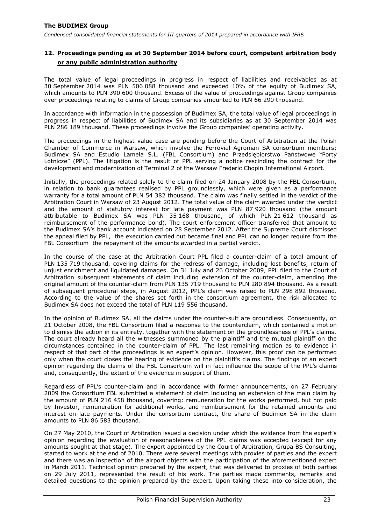# **12. Proceedings pending as at 30 September 2014 before court, competent arbitration body or any public administration authority**

The total value of legal proceedings in progress in respect of liabilities and receivables as at 30 September 2014 was PLN 506 088 thousand and exceeded 10% of the equity of Budimex SA, which amounts to PLN 390 600 thousand. Excess of the value of proceedings against Group companies over proceedings relating to claims of Group companies amounted to PLN 66 290 thousand.

In accordance with information in the possession of Budimex SA, the total value of legal proceedings in progress in respect of liabilities of Budimex SA and its subsidiaries as at 30 September 2014 was PLN 286 189 thousand. These proceedings involve the Group companies' operating activity.

The proceedings in the highest value case are pending before the Court of Arbitration at the Polish Chamber of Commerce in Warsaw, which involve the Ferrovial Agroman SA consortium members: Budimex SA and Estudio Lamela S.L. (FBL Consortium) and Przedsiębiorstwo Państwowe "Porty Lotnicze" (PPL). The litigation is the result of PPL serving a notice rescinding the contract for the development and modernization of Terminal 2 of the Warsaw Frederic Chopin International Airport.

Initially, the proceedings related solely to the claim filed on 24 January 2008 by the FBL Consortium, in relation to bank guarantees realised by PPL groundlessly, which were given as a performance warranty for a total amount of PLN 54 382 thousand. The claim was finally settled in the verdict of the Arbitration Court in Warsaw of 23 August 2012. The total value of the claim awarded under the verdict and the amount of statutory interest for late payment was PLN 87 920 thousand (the amount attributable to Budimex SA was PLN 35 168 thousand, of which PLN 21 612 thousand as reimbursement of the performance bond). The court enforcement officer transferred that amount to the Budimex SA's bank account indicated on 28 September 2012. After the Supreme Court dismissed the appeal filed by PPL, the execution carried out became final and PPL can no longer require from the FBL Consortium the repayment of the amounts awarded in a partial verdict.

In the course of the case at the Arbitration Court PPL filed a counter-claim of a total amount of PLN 135 719 thousand, covering claims for the redress of damage, including lost benefits, return of unjust enrichment and liquidated damages. On 31 July and 26 October 2009, PPL filed to the Court of Arbitration subsequent statements of claim including extension of the counter-claim, amending the original amount of the counter-claim from PLN 135 719 thousand to PLN 280 894 thousand. As a result of subsequent procedural steps, in August 2012, PPL's claim was raised to PLN 298 892 thousand. According to the value of the shares set forth in the consortium agreement, the risk allocated to Budimex SA does not exceed the total of PLN 119 556 thousand.

In the opinion of Budimex SA, all the claims under the counter-suit are groundless. Consequently, on 21 October 2008, the FBL Consortium filed a response to the counterclaim, which contained a motion to dismiss the action in its entirety, together with the statement on the groundlessness of PPL's claims. The court already heard all the witnesses summoned by the plaintiff and the mutual plaintiff on the circumstances contained in the counter-claim of PPL. The last remaining motion as to evidence in respect of that part of the proceedings is an expert's opinion. However, this proof can be performed only when the court closes the hearing of evidence on the plaintiff's claims. The findings of an expert opinion regarding the claims of the FBL Consortium will in fact influence the scope of the PPL's claims and, consequently, the extent of the evidence in support of them.

Regardless of PPL's counter-claim and in accordance with former announcements, on 27 February 2009 the Consortium FBL submitted a statement of claim including an extension of the main claim by the amount of PLN 216 458 thousand, covering: remuneration for the works performed, but not paid by Investor, remuneration for additional works, and reimbursement for the retained amounts and interest on late payments. Under the consortium contract, the share of Budimex SA in the claim amounts to PLN 86 583 thousand.

On 27 May 2010, the Court of Arbitration issued a decision under which the evidence from the expert's opinion regarding the evaluation of reasonableness of the PPL claims was accepted (except for any amounts sought at that stage). The expert appointed by the Court of Arbitration, Grupa BS Consulting, started to work at the end of 2010. There were several meetings with proxies of parties and the expert and there was an inspection of the airport objects with the participation of the aforementioned expert in March 2011. Technical opinion prepared by the expert, that was delivered to proxies of both parties on 29 July 2011, represented the result of his work. The parties made comments, remarks and detailed questions to the opinion prepared by the expert. Upon taking these into consideration, the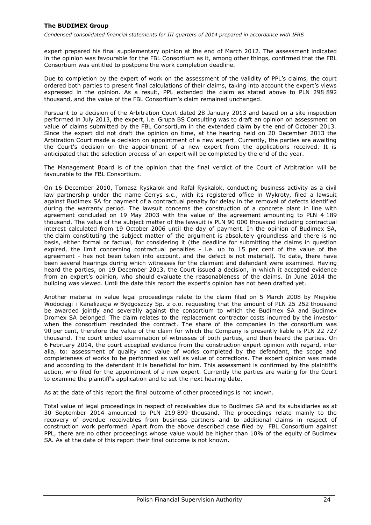expert prepared his final supplementary opinion at the end of March 2012. The assessment indicated in the opinion was favourable for the FBL Consortium as it, among other things, confirmed that the FBL Consortium was entitled to postpone the work completion deadline.

Due to completion by the expert of work on the assessment of the validity of PPL's claims, the court ordered both parties to present final calculations of their claims, taking into account the expert's views expressed in the opinion. As a result, PPL extended the claim as stated above to PLN 298 892 thousand, and the value of the FBL Consortium's claim remained unchanged.

Pursuant to a decision of the Arbitration Court dated 28 January 2013 and based on a site inspection performed in July 2013, the expert, i.e. Grupa BS Consulting was to draft an opinion on assessment on value of claims submitted by the FBL Consortium in the extended claim by the end of October 2013. Since the expert did not draft the opinion on time, at the hearing held on 20 December 2013 the Arbitration Court made a decision on appointment of a new expert. Currently, the parties are awaiting the Court's decision on the appointment of a new expert from the applications received. It is anticipated that the selection process of an expert will be completed by the end of the year.

The Management Board is of the opinion that the final verdict of the Court of Arbitration will be favourable to the FBL Consortium.

On 16 December 2010, Tomasz Ryskalok and Rafał Ryskalok, conducting business activity as a civil law partnership under the name Cerrys s.c., with its registered office in Wykroty, filed a lawsuit against Budimex SA for payment of a contractual penalty for delay in the removal of defects identified during the warranty period. The lawsuit concerns the construction of a concrete plant in line with agreement concluded on 19 May 2003 with the value of the agreement amounting to PLN 4 189 thousand. The value of the subject matter of the lawsuit is PLN 90 000 thousand including contractual interest calculated from 19 October 2006 until the day of payment. In the opinion of Budimex SA, the claim constituting the subject matter of the argument is absolutely groundless and there is no basis, either formal or factual, for considering it (the deadline for submitting the claims in question expired, the limit concerning contractual penalties - i.e. up to 15 per cent of the value of the agreement - has not been taken into account, and the defect is not material). To date, there have been several hearings during which witnesses for the claimant and defendant were examined. Having heard the parties, on 19 December 2013, the Court issued a decision, in which it accepted evidence from an expert's opinion, who should evaluate the reasonableness of the claims. In June 2014 the building was viewed. Until the date this report the expert's opinion has not been drafted yet.

Another material in value legal proceedings relate to the claim filed on 5 March 2008 by Miejskie Wodociągi i Kanalizacja w Bydgoszczy Sp. z o.o. requesting that the amount of PLN 25 252 thousand be awarded jointly and severally against the consortium to which the Budimex SA and Budimex Dromex SA belonged. The claim relates to the replacement contractor costs incurred by the investor when the consortium rescinded the contract. The share of the companies in the consortium was 90 per cent, therefore the value of the claim for which the Company is presently liable is PLN 22 727 thousand. The court ended examination of witnesses of both parties, and then heard the parties. On 6 February 2014, the court accepted evidence from the construction expert opinion with regard, inter alia, to: assessment of quality and value of works completed by the defendant, the scope and completeness of works to be performed as well as value of corrections. The expert opinion was made and according to the defendant it is beneficial for him. This assessment is confirmed by the plaintiff's action, who filed for the appointment of a new expert. Currently the parties are waiting for the Court to examine the plaintiff's application and to set the next hearing date.

As at the date of this report the final outcome of other proceedings is not known.

<span id="page-24-0"></span>Total value of legal proceedings in respect of receivables due to Budimex SA and its subsidiaries as at 30 September 2014 amounted to PLN 219 899 thousand. The proceedings relate mainly to the recovery of overdue receivables from business partners and to additional claims in respect of construction work performed. Apart from the above described case filed by FBL Consortium against PPL, there are no other proceedings whose value would be higher than 10% of the equity of Budimex SA. As at the date of this report their final outcome is not known.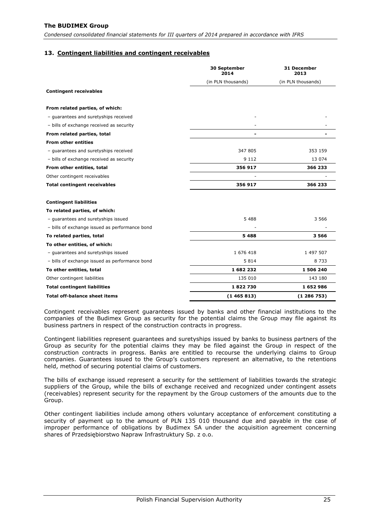*Condensed consolidated financial statements for III quarters of 2014 prepared in accordance with IFRS*

#### **13. Contingent liabilities and contingent receivables**

|                                                | 30 September<br>2014 | 31 December<br>2013<br>(in PLN thousands) |  |
|------------------------------------------------|----------------------|-------------------------------------------|--|
|                                                | (in PLN thousands)   |                                           |  |
| <b>Contingent receivables</b>                  |                      |                                           |  |
| From related parties, of which:                |                      |                                           |  |
| - quarantees and suretyships received          |                      |                                           |  |
| - bills of exchange received as security       |                      |                                           |  |
| From related parties, total                    |                      |                                           |  |
| <b>From other entities</b>                     |                      |                                           |  |
| - guarantees and suretyships received          | 347 805              | 353 159                                   |  |
| - bills of exchange received as security       | 9 1 1 2              | 13 074                                    |  |
| From other entities, total                     | 356 917              | 366 233                                   |  |
| Other contingent receivables                   |                      |                                           |  |
| <b>Total contingent receivables</b>            | 356 917              | 366 233                                   |  |
| <b>Contingent liabilities</b>                  |                      |                                           |  |
| To related parties, of which:                  |                      |                                           |  |
| - guarantees and suretyships issued            | 5 4 8 8              | 3 5 6 6                                   |  |
| - bills of exchange issued as performance bond |                      |                                           |  |
| To related parties, total                      | 5 4 8 8              | 3566                                      |  |
| To other entities, of which:                   |                      |                                           |  |
| - guarantees and suretyships issued            | 1 676 418            | 1 497 507                                 |  |
| - bills of exchange issued as performance bond | 5814                 | 8 7 3 3                                   |  |
| To other entities, total                       | 1682232              | 1506240                                   |  |
| Other contingent liabilities                   | 135 010              | 143 180                                   |  |
| <b>Total contingent liabilities</b>            | 1822730              | 1652986                                   |  |
| <b>Total off-balance sheet items</b>           | (1465813)            | (1286753)                                 |  |

Contingent receivables represent guarantees issued by banks and other financial institutions to the companies of the Budimex Group as security for the potential claims the Group may file against its business partners in respect of the construction contracts in progress.

Contingent liabilities represent guarantees and suretyships issued by banks to business partners of the Group as security for the potential claims they may be filed against the Group in respect of the construction contracts in progress. Banks are entitled to recourse the underlying claims to Group companies. Guarantees issued to the Group's customers represent an alternative, to the retentions held, method of securing potential claims of customers.

The bills of exchange issued represent a security for the settlement of liabilities towards the strategic suppliers of the Group, while the bills of exchange received and recognized under contingent assets (receivables) represent security for the repayment by the Group customers of the amounts due to the Group.

Other contingent liabilities include among others voluntary acceptance of enforcement constituting a security of payment up to the amount of PLN 135 010 thousand due and payable in the case of improper performance of obligations by Budimex SA under the acquisition agreement concerning shares of Przedsiębiorstwo Napraw Infrastruktury Sp. z o.o.